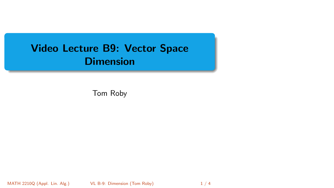# <span id="page-0-0"></span>Video Lecture B9: Vector Space **Dimension**

Tom Roby

MATH 2210Q (Appl. Lin. Alg.) [VL B-9: Dimension](#page-3-0) (Tom Roby) 1 / 4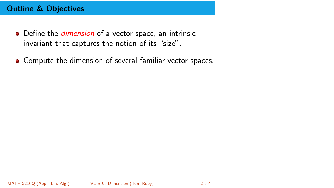# Outline & Objectives

- Define the *dimension* of a vector space, an intrinsic invariant that captures the notion of its "size".
- Compute the dimension of several familiar vector spaces.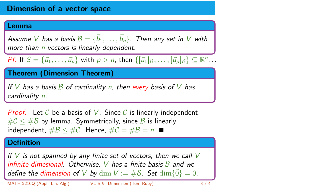# Dimension of a vector space

#### Lemma

Assume V has a basis  $\mathcal{B} = \{ \vec{b}_1, \ldots, \vec{b}_n \}$ . Then any set in V with more than *n* vectors is linearly dependent.

Pf: If  $S = {\vec{u_1}, \ldots, \vec{u_p}}$  with  $p > n$ , then  $\{[\vec{u_1}]_B, \ldots, [\vec{u_p}]_B\} \subseteq \mathbb{R}^n \ldots$ 

Theorem (Dimension Theorem)

If V has a basis  $\beta$  of cardinality n, then every basis of V has cardinality n.

**Proof:** Let C be a basis of V. Since C is linearly independent,  $\#\mathcal{C} \leq \#\mathcal{B}$  by lemma. Symmetrically, since  $\mathcal{B}$  is linearly independent,  $\#\mathcal{B} \leq \#\mathcal{C}$ . Hence,  $\#\mathcal{C} = \#\mathcal{B} = n$ . ■

## **Definition**

If  $V$  is not spanned by any finite set of vectors, then we call  $V$ infinite dimesional. Otherwise, V has a finite basis  $\beta$  and we define the dimension of V by dim  $V := \#B$ . Set  $\dim\{\vec{0}\} = 0$ .

MATH 2210Q (Appl. Lin. Alg.) [VL B-9: Dimension](#page-0-0) (Tom Roby) 3 / 4